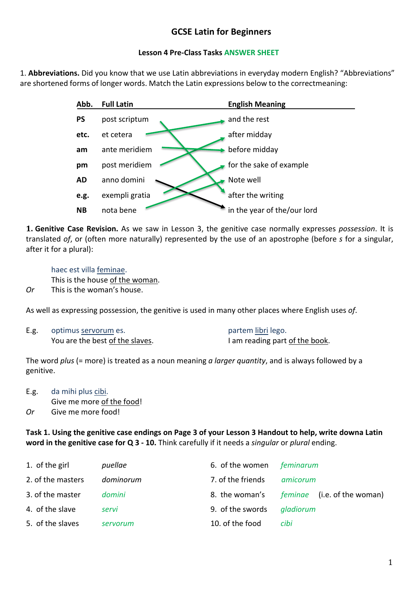# **GCSE Latin for Beginners**

### **Lesson 4 Pre-Class Tasks ANSWER SHEET**

1. **Abbreviations.** Did you know that we use Latin abbreviations in everyday modern English? "Abbreviations" are shortened forms of longer words. Match the Latin expressions below to the correctmeaning:

| Abb.      | <b>Full Latin</b> | <b>English Meaning</b>      |
|-----------|-------------------|-----------------------------|
| <b>PS</b> | post scriptum     | and the rest                |
| etc.      | et cetera         | after midday                |
| am        | ante meridiem     | before midday               |
| pm        | post meridiem     | for the sake of example     |
| AD        | anno domini       | Note well                   |
| e.g.      | exempli gratia    | after the writing           |
| <b>NB</b> | nota bene         | in the year of the/our lord |

**1. Genitive Case Revision.** As we saw in Lesson 3, the genitive case normally expresses *possession*. It is translated *of*, or (often more naturally) represented by the use of an apostrophe (before *s* for a singular, after it for a plural):

haec est villa feminae. This is the house of the woman. *Or* This is the woman's house.

As well as expressing possession, the genitive is used in many other places where English uses *of*.

E.g. optimus servorum es. partem libri lego. You are the best of the slaves.<br>I am reading part of the book.

The word *plus* (= more) is treated as a noun meaning *a larger quantity*, and is always followed by a genitive.

E.g. da mihi plus cibi. Give me more of the food! *Or* Give me more food!

**Task 1. Using the genitive case endings on Page 3 of your Lesson 3 Handout to help, write downa Latin word in the genitive case for Q 3 - 10.** Think carefully if it needs a *singular* or *plural* ending.

| 1. of the girl    | puellae   | 6. of the women   | feminarum                          |
|-------------------|-----------|-------------------|------------------------------------|
| 2. of the masters | dominorum | 7. of the friends | amicorum                           |
| 3. of the master  | domini    | 8. the woman's    | <i>feminae</i> (i.e. of the woman) |
| 4. of the slave   | servi     | 9. of the swords  | gladiorum                          |
| 5. of the slaves  | servorum  | 10. of the food   | cibi                               |